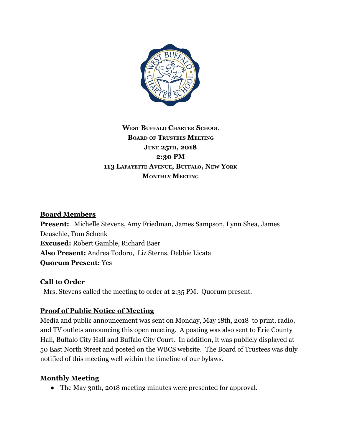

## **WEST BUFFALO CHARTER SCHOOL BOARD OF TRUSTEES MEETING JUNE 25TH, 2018 2:30 PM 113 LAFAYETTE AVENUE, BUFFALO, NEW YORK MONTHLY MEETING**

### **Board Members**

**Present:** Michelle Stevens, Amy Friedman, James Sampson, Lynn Shea, James Deuschle, Tom Schenk **Excused:** Robert Gamble, Richard Baer **Also Present:** Andrea Todoro, Liz Sterns, Debbie Licata **Quorum Present:** Yes

### **Call to Order**

Mrs. Stevens called the meeting to order at 2:35 PM. Quorum present.

### **Proof of Public Notice of Meeting**

Media and public announcement was sent on Monday, May 18th, 2018 to print, radio, and TV outlets announcing this open meeting. A posting was also sent to Erie County Hall, Buffalo City Hall and Buffalo City Court. In addition, it was publicly displayed at 50 East North Street and posted on the WBCS website. The Board of Trustees was duly notified of this meeting well within the timeline of our bylaws.

#### **Monthly Meeting**

● The May 30th, 2018 meeting minutes were presented for approval.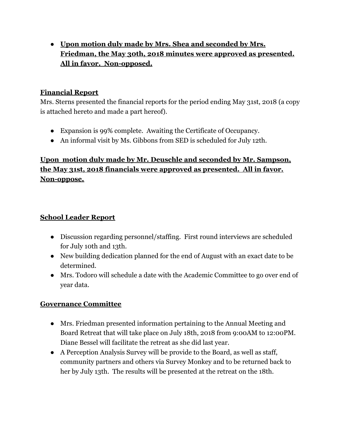● **Upon motion duly made by Mrs. Shea and seconded by Mrs. Friedman, the May 30th, 2018 minutes were approved as presented. All in favor. Non-opposed.**

### **Financial Report**

Mrs. Sterns presented the financial reports for the period ending May 31st, 2018 (a copy is attached hereto and made a part hereof).

- Expansion is 99% complete. Awaiting the Certificate of Occupancy.
- An informal visit by Ms. Gibbons from SED is scheduled for July 12th.

# **Upon motion duly made by Mr. Deuschle and seconded by Mr. Sampson, the May 31st, 2018 financials were approved as presented. All in favor. Non-oppose.**

### **School Leader Report**

- Discussion regarding personnel/staffing. First round interviews are scheduled for July 10th and 13th.
- New building dedication planned for the end of August with an exact date to be determined.
- Mrs. Todoro will schedule a date with the Academic Committee to go over end of year data.

### **Governance Committee**

- Mrs. Friedman presented information pertaining to the Annual Meeting and Board Retreat that will take place on July 18th, 2018 from 9:00AM to 12:00PM. Diane Bessel will facilitate the retreat as she did last year.
- A Perception Analysis Survey will be provide to the Board, as well as staff, community partners and others via Survey Monkey and to be returned back to her by July 13th. The results will be presented at the retreat on the 18th.